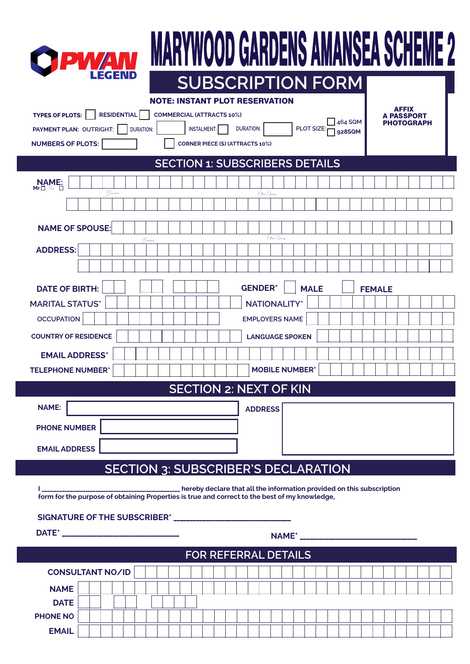|                                                                                                                                                                                                                                                                      | WOOD GARDENS<br><b>SUBSCRIPTION FORM</b>                                                                                    |
|----------------------------------------------------------------------------------------------------------------------------------------------------------------------------------------------------------------------------------------------------------------------|-----------------------------------------------------------------------------------------------------------------------------|
| <b>NOTE: INSTANT PLOT RESERVATION</b><br><b>RESIDENTIAL</b><br><b>TYPES OF PLOTS:</b><br><b>COMMERCIAL (ATTRACTS 10%)</b><br>PAYMENT PLAN: OUTRIGHT:<br><b>INSTALMENT:</b><br><b>DURATION:</b><br><b>NUMBERS OF PLOTS:</b><br><b>CORNER PIECE (S) (ATTRACTS 10%)</b> | <b>AFFIX</b><br><b>A PASSPORT</b><br>$\frac{1}{2}$ 464 SQM<br><b>PHOTOGRAPH</b><br><b>DURATION:</b><br>PLOT SIZE:<br>928SQM |
| <b>SECTION 1: SUBSCRIBERS DETAILS</b>                                                                                                                                                                                                                                |                                                                                                                             |
| $NAME:$<br>$Mr \Box M$                                                                                                                                                                                                                                               |                                                                                                                             |
| - Germani                                                                                                                                                                                                                                                            | Other Names                                                                                                                 |
| <b>NAME OF SPOUSE:</b>                                                                                                                                                                                                                                               |                                                                                                                             |
| $\mathcal{Q}$                                                                                                                                                                                                                                                        | <i>Chen Names</i>                                                                                                           |
| <b>ADDRESS:</b>                                                                                                                                                                                                                                                      |                                                                                                                             |
|                                                                                                                                                                                                                                                                      |                                                                                                                             |
| <b>DATE OF BIRTH:</b>                                                                                                                                                                                                                                                | <b>GENDER*</b><br><b>MALE</b><br><b>FEMALE</b>                                                                              |
| <b>MARITAL STATUS*</b>                                                                                                                                                                                                                                               | <b>NATIONALITY*</b>                                                                                                         |
| <b>OCCUPATION</b>                                                                                                                                                                                                                                                    | <b>EMPLOYERS NAME</b>                                                                                                       |
| <b>COUNTRY OF RESIDENCE</b>                                                                                                                                                                                                                                          | <b>LANGUAGE SPOKEN</b>                                                                                                      |
| <b>EMAIL ADDRESS*</b>                                                                                                                                                                                                                                                |                                                                                                                             |
| <b>TELEPHONE NUMBER*</b>                                                                                                                                                                                                                                             | <b>MOBILE NUMBER</b> *                                                                                                      |
|                                                                                                                                                                                                                                                                      | <b>SECTION 2: NEXT OF KIN</b>                                                                                               |
| <b>NAME:</b>                                                                                                                                                                                                                                                         | <b>ADDRESS</b>                                                                                                              |
| <b>PHONE NUMBER</b>                                                                                                                                                                                                                                                  |                                                                                                                             |
|                                                                                                                                                                                                                                                                      |                                                                                                                             |
|                                                                                                                                                                                                                                                                      |                                                                                                                             |
| <b>EMAIL ADDRESS</b>                                                                                                                                                                                                                                                 |                                                                                                                             |
| <b>SECTION 3: SUBSCRIBER'S DECLARATION</b>                                                                                                                                                                                                                           |                                                                                                                             |
| form for the purpose of obtaining Properties is true and correct to the best of my knowledge,                                                                                                                                                                        | ______________ hereby declare that all the information provided on this subscription                                        |
|                                                                                                                                                                                                                                                                      |                                                                                                                             |
|                                                                                                                                                                                                                                                                      |                                                                                                                             |
|                                                                                                                                                                                                                                                                      |                                                                                                                             |
|                                                                                                                                                                                                                                                                      | FOR REFERRAL DETAILS                                                                                                        |
| <b>CONSULTANT NO/ID</b>                                                                                                                                                                                                                                              |                                                                                                                             |
| <b>NAME</b><br><b>DATE</b>                                                                                                                                                                                                                                           |                                                                                                                             |
| <b>PHONE NO</b>                                                                                                                                                                                                                                                      |                                                                                                                             |

L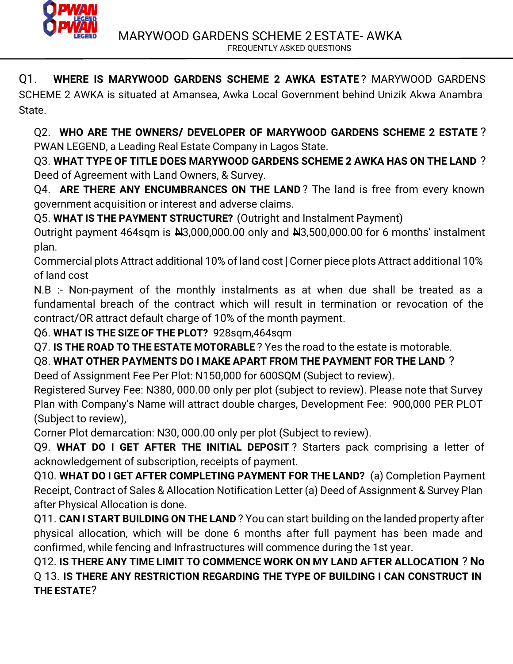

Q1. **WHERE IS MARYWOOD GARDENS SCHEME 2 AWKA ESTATE** ? MARYWOOD GARDENS

SCHEME 2 AWKA is situated at Amansea, Awka Local Government behind Unizik Akwa Anambra State.

Q2. **WHO ARE THE OWNERS/ DEVELOPER OF MARYWOOD GARDENS SCHEME 2 ESTATE** ? PWAN LEGEND, a Leading Real Estate Company in Lagos State.

Q3. **WHAT TYPE OF TITLE DOES MARYWOOD GARDENS SCHEME 2 AWKA HAS ON THE LAND** ? Deed of Agreement with Land Owners, & Survey.

Q4. **ARE THERE ANY ENCUMBRANCES ON THE LAND**? The land is free from every known government acquisition or interest and adverse claims.

Q5. **WHAT IS THE PAYMENT STRUCTURE?** (Outright and Instalment Payment)

Outright payment 464sqm is N3,000,000.00 only and N3,500,000.00 for 6 months' instalment plan.

Commercial plots Attract additional 10% of land cost | Corner piece plots Attract additional 10% of land cost

N.B :- Non-payment of the monthly instalments as at when due shall be treated as a fundamental breach of the contract which will result in termination or revocation of the contract/OR attract default charge of 10% of the month payment.

Q6. **WHAT IS THE SIZE OF THE PLOT?** 928sqm,464sqm

Q7. **IS THE ROAD TO THE ESTATE MOTORABLE** ? Yes the road to the estate is motorable.

Q8. **WHAT OTHER PAYMENTS DO I MAKE APART FROM THE PAYMENT FOR THE LAND** ?

Deed of Assignment Fee Per Plot: N150,000 for 600SQM (Subject to review).

Registered Survey Fee: N380, 000.00 only per plot (subject to review). Please note that Survey Plan with Company's Name will attract double charges, Development Fee: 900,000 PER PLOT (Subject to review),

Corner Plot demarcation: N30, 000.00 only per plot (Subject to review).

Q9. **WHAT DO I GET AFTER THE INITIAL DEPOSIT** ? Starters pack comprising a letter of acknowledgement of subscription, receipts of payment.

Q10. **WHAT DO I GET AFTER COMPLETING PAYMENT FOR THE LAND?** (a) Completion Payment Receipt, Contract of Sales & Allocation Notification Letter (a) Deed of Assignment & Survey Plan after Physical Allocation is done.

Q11. **CAN I START BUILDING ON THE LAND** ? You can start building on the landed property after physical allocation, which will be done 6 months after full payment has been made and confirmed, while fencing and Infrastructures will commence during the 1st year.

Q12. **IS THERE ANY TIME LIMIT TO COMMENCE WORK ON MY LAND AFTER ALLOCATION** ? **No** Q 13. **IS THERE ANY RESTRICTION REGARDING THE TYPE OF BUILDING I CAN CONSTRUCT IN THE ESTATE**?